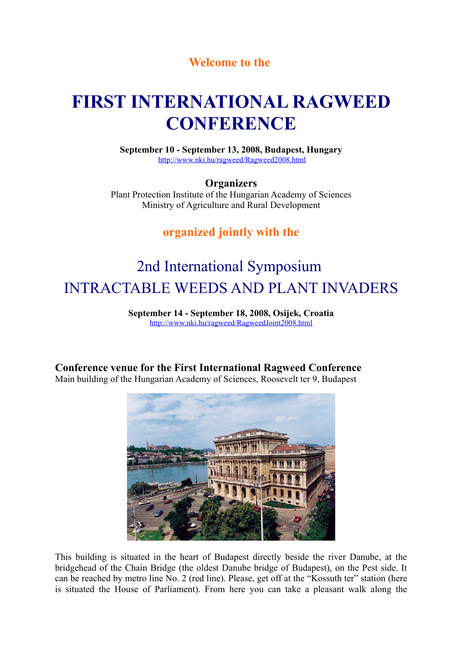## **Welcome to the**

# **FIRST INTERNATIONAL RAGWEED CONFERENCE**

**September 10 - September 13, 2008, Budapest, Hungary** <http://www.nki.hu/ragweed/Ragweed2008.html>

**Organizers**

Plant Protection Institute of the Hungarian Academy of Sciences Ministry of Agriculture and Rural Development

## **organized jointly with the**

# 2nd International Symposium INTRACTABLE WEEDS AND PLANT INVADERS

**September 14 - September 18, 2008, Osijek, Croatia** <http://www.nki.hu/ragweed/RagweedJoint2008.html>

# **Conference venue for the First International Ragweed Conference**

Main building of the Hungarian Academy of Sciences, Roosevelt ter 9, Budapest



This building is situated in the heart of Budapest directly beside the river Danube, at the bridgehead of the Chain Bridge (the oldest Danube bridge of Budapest), on the Pest side. It can be reached by metro line No. 2 (red line). Please, get off at the "Kossuth ter" station (here is situated the House of Parliament). From here you can take a pleasant walk along the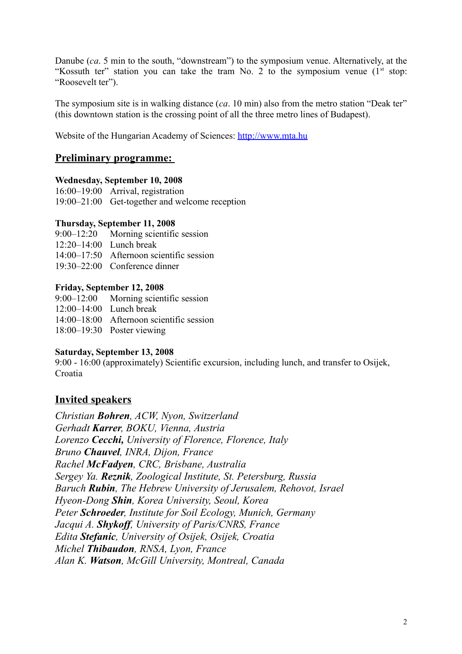Danube (*ca*. 5 min to the south, "downstream") to the symposium venue. Alternatively, at the "Kossuth ter" station you can take the tram No. 2 to the symposium venue  $(1<sup>st</sup> stop:$ "Roosevelt ter").

The symposium site is in walking distance (*ca*. 10 min) also from the metro station "Deak ter" (this downtown station is the crossing point of all the three metro lines of Budapest).

Website of the Hungarian Academy of Sciences: [http://www.mta.hu](http://www.mta.hu/)

## **Preliminary programme:**

## **Wednesday, September 10, 2008**

16:00–19:00 Arrival, registration 19:00–21:00 Get-together and welcome reception

### **Thursday, September 11, 2008**

9:00–12:20 Morning scientific session

- $12.20 14.00$  Lunch break
- 14:00–17:50 Afternoon scientific session
- 19:30–22:00 Conference dinner

### **Friday, September 12, 2008**

9:00–12:00 Morning scientific session

- 12:00–14:00 Lunch break
- 14:00–18:00 Afternoon scientific session

18:00–19:30 Poster viewing

## **Saturday, September 13, 2008**

9:00 - 16:00 (approximately) Scientific excursion, including lunch, and transfer to Osijek, Croatia

## **Invited speakers**

*Christian Bohren, ACW, Nyon, Switzerland Gerhadt Karrer, BOKU, Vienna, Austria Lorenzo Cecchi, University of Florence, Florence, Italy Bruno Chauvel, INRA, Dijon, France Rachel McFadyen, CRC, Brisbane, Australia Sergey Ya. Reznik, Zoological Institute, St. Petersburg, Russia Baruch Rubin, The Hebrew University of Jerusalem, Rehovot, Israel Hyeon-Dong Shin, Korea University, Seoul, Korea Peter Schroeder, Institute for Soil Ecology, Munich, Germany Jacqui A. Shykoff, University of Paris/CNRS, France Edita Stefanic, University of Osijek, Osijek, Croatia Michel Thibaudon, RNSA, Lyon, France Alan K. Watson, McGill University, Montreal, Canada*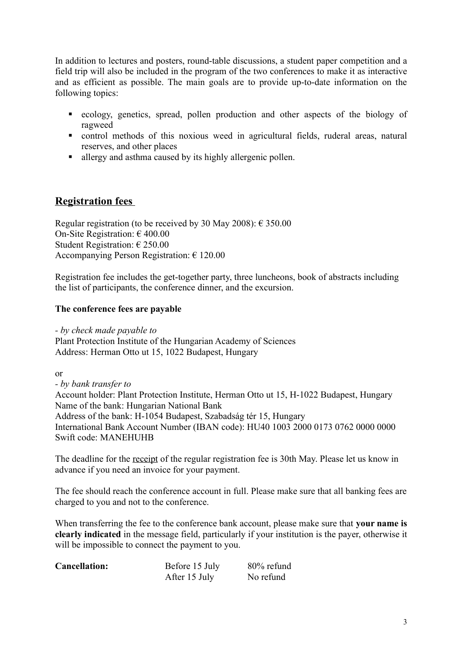In addition to lectures and posters, round-table discussions, a student paper competition and a field trip will also be included in the program of the two conferences to make it as interactive and as efficient as possible. The main goals are to provide up-to-date information on the following topics:

- ecology, genetics, spread, pollen production and other aspects of the biology of ragweed
- control methods of this noxious weed in agricultural fields, ruderal areas, natural reserves, and other places
- allergy and asthma caused by its highly allergenic pollen.

## **Registration fees**

Regular registration (to be received by 30 May 2008):  $\epsilon$  350.00 On-Site Registration: € 400.00 Student Registration: € 250.00 Accompanying Person Registration: € 120.00

Registration fee includes the get-together party, three luncheons, book of abstracts including the list of participants, the conference dinner, and the excursion.

## **The conference fees are payable**

*- by check made payable to*  Plant Protection Institute of the Hungarian Academy of Sciences Address: Herman Otto ut 15, 1022 Budapest, Hungary

or

*- by bank transfer to*  Account holder: Plant Protection Institute, Herman Otto ut 15, H-1022 Budapest, Hungary Name of the bank: Hungarian National Bank Address of the bank: H-1054 Budapest, Szabadság tér 15, Hungary International Bank Account Number (IBAN code): HU40 1003 2000 0173 0762 0000 0000 Swift code: MANEHUHB

The deadline for the receipt of the regular registration fee is 30th May. Please let us know in advance if you need an invoice for your payment.

The fee should reach the conference account in full. Please make sure that all banking fees are charged to you and not to the conference.

When transferring the fee to the conference bank account, please make sure that **your name is clearly indicated** in the message field, particularly if your institution is the payer, otherwise it will be impossible to connect the payment to you.

| <b>Cancellation:</b> | Before 15 July | 80% refund |
|----------------------|----------------|------------|
|                      | After 15 July  | No refund  |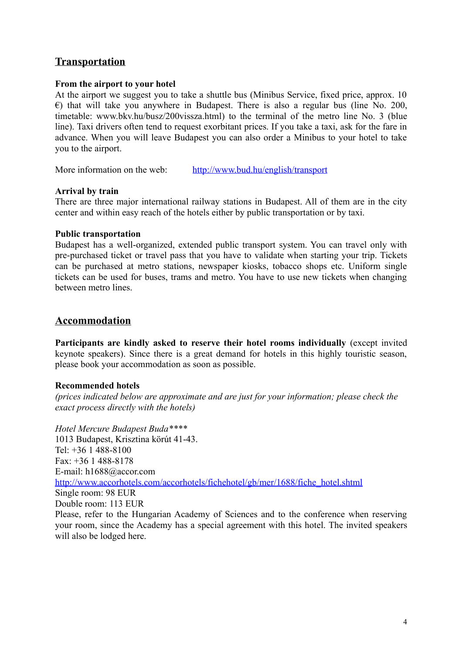## **Transportation**

## **From the airport to your hotel**

At the airport we suggest you to take a shuttle bus (Minibus Service, fixed price, approx. 10  $\epsilon$ ) that will take you anywhere in Budapest. There is also a regular bus (line No. 200, timetable: www.bkv.hu/busz/200vissza.html) to the terminal of the metro line No. 3 (blue line). Taxi drivers often tend to request exorbitant prices. If you take a taxi, ask for the fare in advance. When you will leave Budapest you can also order a Minibus to your hotel to take you to the airport.

More information on the web: <http://www.bud.hu/english/transport>

### **Arrival by train**

There are three major international railway stations in Budapest. All of them are in the city center and within easy reach of the hotels either by public transportation or by taxi.

#### **Public transportation**

Budapest has a well-organized, extended public transport system. You can travel only with pre-purchased ticket or travel pass that you have to validate when starting your trip. Tickets can be purchased at metro stations, newspaper kiosks, tobacco shops etc. Uniform single tickets can be used for buses, trams and metro. You have to use new tickets when changing between metro lines.

## **Accommodation**

**Participants are kindly asked to reserve their hotel rooms individually** (except invited keynote speakers). Since there is a great demand for hotels in this highly touristic season, please book your accommodation as soon as possible.

## **Recommended hotels**

*(prices indicated below are approximate and are just for your information; please check the exact process directly with the hotels)*

*Hotel Mercure Budapest Buda\*\*\*\** 1013 Budapest, Krisztina körút 41-43. Tel: +36 1 488-8100 Fax: +36 1 488-8178 E-mail: h1688@accor.com [http://www.accorhotels.com/accorhotels/fichehotel/gb/mer/1688/fiche\\_hotel.shtml](http://www.accorhotels.com/accorhotels/fichehotel/gb/mer/1688/fiche_hotel.shtml) Single room: 98 EUR Double room: 113 EUR Please, refer to the Hungarian Academy of Sciences and to the conference when reserving your room, since the Academy has a special agreement with this hotel. The invited speakers will also be lodged here.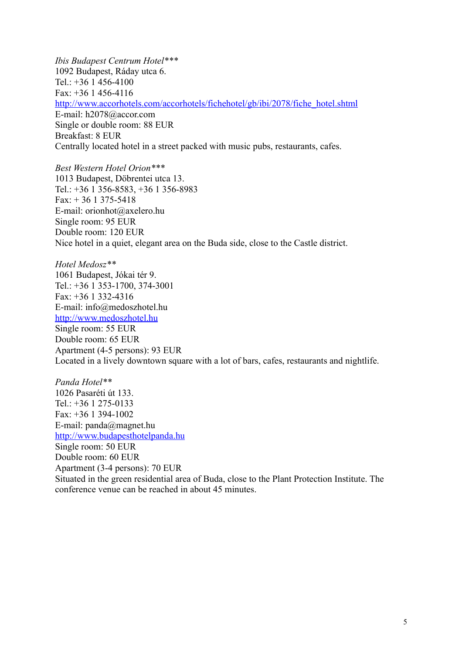*Ibis Budapest Centrum Hotel\*\*\** 1092 Budapest, Ráday utca 6. Tel.: +36 1 456-4100 Fax: +36 1 456-4116 [http://www.accorhotels.com/accorhotels/fichehotel/gb/ibi/2078/fiche\\_hotel.shtml](http://www.accorhotels.com/accorhotels/fichehotel/gb/ibi/2078/fiche_hotel.shtml) E-mail: h2078@accor.com Single or double room: 88 EUR Breakfast: 8 EUR Centrally located hotel in a street packed with music pubs, restaurants, cafes.

*Best Western Hotel Orion\*\*\** 1013 Budapest, Döbrentei utca 13. Tel.: +36 1 356-8583, +36 1 356-8983 Fax:  $+361375-5418$ E-mail: orionhot@axelero.hu Single room: 95 EUR Double room: 120 EUR Nice hotel in a quiet, elegant area on the Buda side, close to the Castle district.

*Hotel Medosz\*\** 1061 Budapest, Jókai tér 9. Tel.: +36 1 353-1700, 374-3001  $Fax + 36$  1 332-4316 E-mail: info@medoszhotel.hu [http://www.medoszhotel.hu](http://www.medoszhotel.hu/) Single room: 55 EUR Double room: 65 EUR Apartment (4-5 persons): 93 EUR Located in a lively downtown square with a lot of bars, cafes, restaurants and nightlife.

*Panda Hotel\*\** 1026 Pasaréti út 133. Tel.:  $+36$  1 275-0133 Fax: +36 1 394-1002 E-mail: panda@magnet.hu [http://www.budapesthotelpanda.hu](http://www.budapesthotelpanda.hu/) Single room: 50 EUR Double room: 60 EUR Apartment (3-4 persons): 70 EUR Situated in the green residential area of Buda, close to the Plant Protection Institute. The conference venue can be reached in about 45 minutes.